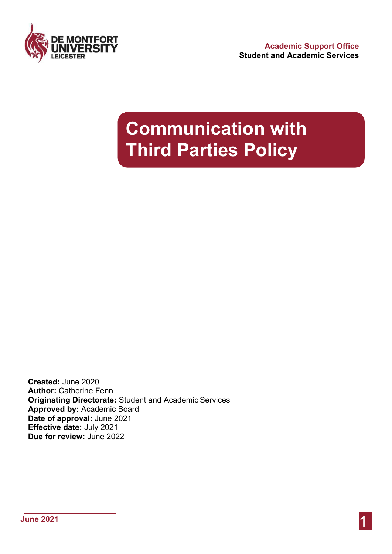

## **Communication with Third Parties Policy**

**Created:** June 2020 **Author:** Catherine Fenn **Originating Directorate:** Student and Academic Services **Approved by:** Academic Board **Date of approval:** June 2021 **Effective date:** July 2021 **Due for review:** June 2022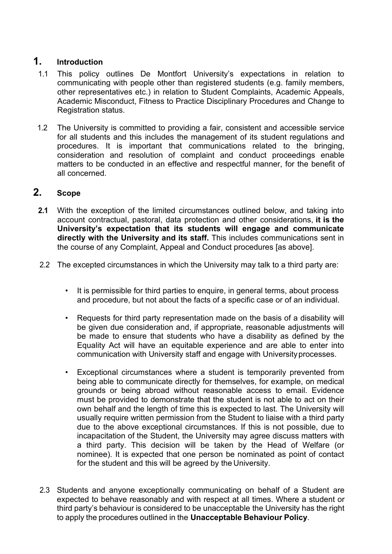## **1. Introduction**

- 1.1 This policy outlines De Montfort University's expectations in relation to communicating with people other than registered students (e.g. family members, other representatives etc.) in relation to Student Complaints, Academic Appeals, Academic Misconduct, Fitness to Practice Disciplinary Procedures and Change to Registration status.
- 1.2 The University is committed to providing a fair, consistent and accessible service for all students and this includes the management of its student regulations and procedures. It is important that communications related to the bringing, consideration and resolution of complaint and conduct proceedings enable matters to be conducted in an effective and respectful manner, for the benefit of all concerned.

## **2. Scope**

- **2.1** With the exception of the limited circumstances outlined below, and taking into account contractual, pastoral, data protection and other considerations, **it is the University's expectation that its students will engage and communicate directly with the University and its staff.** This includes communications sent in the course of any Complaint, Appeal and Conduct procedures [as above].
- 2.2 The excepted circumstances in which the University may talk to a third party are:
	- It is permissible for third parties to enquire, in general terms, about process and procedure, but not about the facts of a specific case or of an individual.
	- Requests for third party representation made on the basis of a disability will be given due consideration and, if appropriate, reasonable adjustments will be made to ensure that students who have a disability as defined by the Equality Act will have an equitable experience and are able to enter into communication with University staff and engage with Universityprocesses.
	- Exceptional circumstances where a student is temporarily prevented from being able to communicate directly for themselves, for example, on medical grounds or being abroad without reasonable access to email. Evidence must be provided to demonstrate that the student is not able to act on their own behalf and the length of time this is expected to last. The University will usually require written permission from the Student to liaise with a third party due to the above exceptional circumstances. If this is not possible, due to incapacitation of the Student, the University may agree discuss matters with a third party. This decision will be taken by the Head of Welfare (or nominee). It is expected that one person be nominated as point of contact for the student and this will be agreed by the University.
- 2.3 Students and anyone exceptionally communicating on behalf of a Student are expected to behave reasonably and with respect at all times. Where a student or third party's behaviour is considered to be unacceptable the University has the right to apply the procedures outlined in the **Unacceptable Behaviour Policy**.